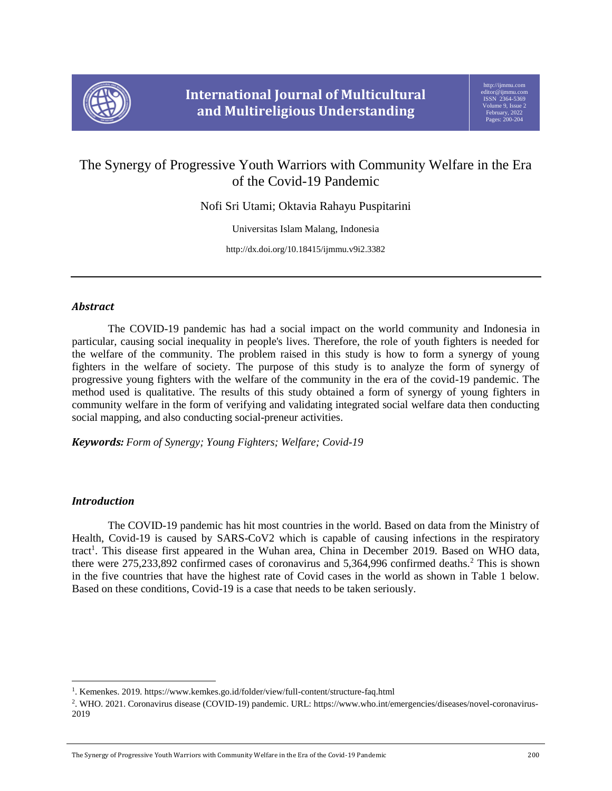

# The Synergy of Progressive Youth Warriors with Community Welfare in the Era of the Covid-19 Pandemic

Nofi Sri Utami; Oktavia Rahayu Puspitarini

Universitas Islam Malang, Indonesia

http://dx.doi.org/10.18415/ijmmu.v9i2.3382

## *Abstract*

The COVID-19 pandemic has had a social impact on the world community and Indonesia in particular, causing social inequality in people's lives. Therefore, the role of youth fighters is needed for the welfare of the community. The problem raised in this study is how to form a synergy of young fighters in the welfare of society. The purpose of this study is to analyze the form of synergy of progressive young fighters with the welfare of the community in the era of the covid-19 pandemic. The method used is qualitative. The results of this study obtained a form of synergy of young fighters in community welfare in the form of verifying and validating integrated social welfare data then conducting social mapping, and also conducting social-preneur activities.

*Keywords: Form of Synergy; Young Fighters; Welfare; Covid-19*

# *Introduction*

l

The COVID-19 pandemic has hit most countries in the world. Based on data from the Ministry of Health, Covid-19 is caused by SARS-CoV2 which is capable of causing infections in the respiratory tract<sup>1</sup>. This disease first appeared in the Wuhan area, China in December 2019. Based on WHO data, there were 275,233,892 confirmed cases of coronavirus and 5,364,996 confirmed deaths.<sup>2</sup> This is shown in the five countries that have the highest rate of Covid cases in the world as shown in Table 1 below. Based on these conditions, Covid-19 is a case that needs to be taken seriously.

<sup>&</sup>lt;sup>1</sup>. Kemenkes. 2019[. https://www.kemkes.go.id/folder/view/full-content/structure-faq.html](https://www.kemkes.go.id/folder/view/full-content/structure-faq.html)

<sup>2</sup> . WHO. 2021. Coronavirus disease (COVID-19) pandemic. URL: [https://www.who.int/emergencies/diseases/novel-coronavirus-](https://www.who.int/emergencies/diseases/novel-coronavirus-2019)[2019](https://www.who.int/emergencies/diseases/novel-coronavirus-2019)

The Synergy of Progressive Youth Warriors with Community Welfare in the Era of the Covid-19 Pandemic 200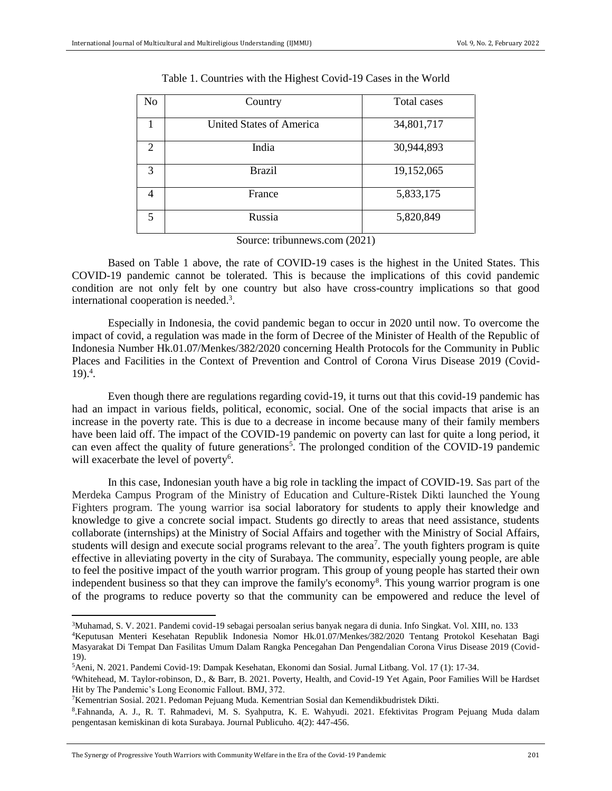| No             | Country                  | Total cases |
|----------------|--------------------------|-------------|
|                | United States of America | 34,801,717  |
| $\overline{2}$ | India                    | 30,944,893  |
| 3              | <b>Brazil</b>            | 19,152,065  |
|                | France                   | 5,833,175   |
| 5              | Russia                   | 5,820,849   |

| Table 1. Countries with the Highest Covid-19 Cases in the World |
|-----------------------------------------------------------------|
|-----------------------------------------------------------------|

Source: tribunnews.com (2021)

Based on Table 1 above, the rate of COVID-19 cases is the highest in the United States. This COVID-19 pandemic cannot be tolerated. This is because the implications of this covid pandemic condition are not only felt by one country but also have cross-country implications so that good international cooperation is needed.<sup>3</sup>.

Especially in Indonesia, the covid pandemic began to occur in 2020 until now. To overcome the impact of covid, a regulation was made in the form of Decree of the Minister of Health of the Republic of Indonesia Number Hk.01.07/Menkes/382/2020 concerning Health Protocols for the Community in Public Places and Facilities in the Context of Prevention and Control of Corona Virus Disease 2019 (Covid- $19)$ <sup>4</sup>.

Even though there are regulations regarding covid-19, it turns out that this covid-19 pandemic has had an impact in various fields, political, economic, social. One of the social impacts that arise is an increase in the poverty rate. This is due to a decrease in income because many of their family members have been laid off. The impact of the COVID-19 pandemic on poverty can last for quite a long period, it can even affect the quality of future generations<sup>5</sup>. The prolonged condition of the COVID-19 pandemic will exacerbate the level of poverty<sup>6</sup>.

In this case, Indonesian youth have a big role in tackling the impact of COVID-19. Sas part of the Merdeka Campus Program of the Ministry of Education and Culture-Ristek Dikti launched the Young Fighters program. The young warrior isa social laboratory for students to apply their knowledge and knowledge to give a concrete social impact. Students go directly to areas that need assistance, students collaborate (internships) at the Ministry of Social Affairs and together with the Ministry of Social Affairs, students will design and execute social programs relevant to the area<sup>7</sup>. The youth fighters program is quite effective in alleviating poverty in the city of Surabaya. The community, especially young people, are able to feel the positive impact of the youth warrior program. This group of young people has started their own independent business so that they can improve the family's economy<sup>8</sup>. This young warrior program is one of the programs to reduce poverty so that the community can be empowered and reduce the level of

 $\overline{\phantom{a}}$ 

<sup>3</sup>Muhamad, S. V. 2021. Pandemi covid-19 sebagai persoalan serius banyak negara di dunia. Info Singkat. Vol. XIII, no. 133

<sup>4</sup>Keputusan Menteri Kesehatan Republik Indonesia Nomor Hk.01.07/Menkes/382/2020 Tentang Protokol Kesehatan Bagi Masyarakat Di Tempat Dan Fasilitas Umum Dalam Rangka Pencegahan Dan Pengendalian Corona Virus Disease 2019 (Covid-19).

<sup>5</sup>Aeni, N. 2021. Pandemi Covid-19: Dampak Kesehatan, Ekonomi dan Sosial. Jurnal Litbang. Vol. 17 (1): 17-34.

<sup>6</sup>Whitehead, M. Taylor-robinson, D., & Barr, B. 2021. Poverty, Health, and Covid-19 Yet Again, Poor Families Will be Hardset Hit by The Pandemic's Long Economic Fallout. BMJ, 372.

<sup>7</sup>Kementrian Sosial. 2021. Pedoman Pejuang Muda. Kementrian Sosial dan Kemendikbudristek Dikti.

<sup>8</sup> .Fahnanda, A. J., R. T. Rahmadevi, M. S. Syahputra, K. E. Wahyudi. 2021. Efektivitas Program Pejuang Muda dalam pengentasan kemiskinan di kota Surabaya. Journal Publicuho. 4(2): 447-456.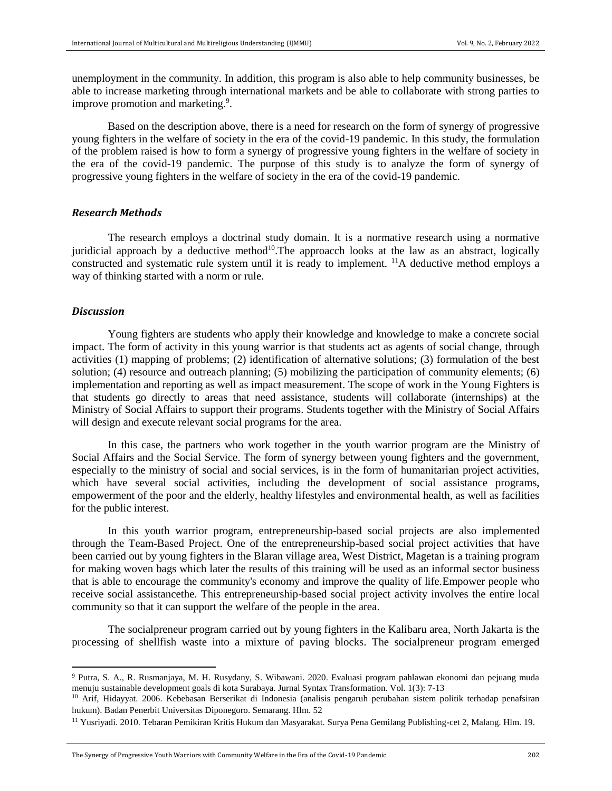unemployment in the community. In addition, this program is also able to help community businesses, be able to increase marketing through international markets and be able to collaborate with strong parties to improve promotion and marketing.<sup>9</sup>.

Based on the description above, there is a need for research on the form of synergy of progressive young fighters in the welfare of society in the era of the covid-19 pandemic. In this study, the formulation of the problem raised is how to form a synergy of progressive young fighters in the welfare of society in the era of the covid-19 pandemic. The purpose of this study is to analyze the form of synergy of progressive young fighters in the welfare of society in the era of the covid-19 pandemic.

#### *Research Methods*

The research employs a doctrinal study domain. It is a normative research using a normative juridicial approach by a deductive method<sup>10</sup>. The approacch looks at the law as an abstract, logically constructed and systematic rule system until it is ready to implement. <sup>11</sup>A deductive method employs a way of thinking started with a norm or rule.

#### *Discussion*

 $\overline{\phantom{a}}$ 

Young fighters are students who apply their knowledge and knowledge to make a concrete social impact. The form of activity in this young warrior is that students act as agents of social change, through activities (1) mapping of problems; (2) identification of alternative solutions; (3) formulation of the best solution; (4) resource and outreach planning; (5) mobilizing the participation of community elements; (6) implementation and reporting as well as impact measurement. The scope of work in the Young Fighters is that students go directly to areas that need assistance, students will collaborate (internships) at the Ministry of Social Affairs to support their programs. Students together with the Ministry of Social Affairs will design and execute relevant social programs for the area.

In this case, the partners who work together in the youth warrior program are the Ministry of Social Affairs and the Social Service. The form of synergy between young fighters and the government, especially to the ministry of social and social services, is in the form of humanitarian project activities, which have several social activities, including the development of social assistance programs, empowerment of the poor and the elderly, healthy lifestyles and environmental health, as well as facilities for the public interest.

In this youth warrior program, entrepreneurship-based social projects are also implemented through the Team-Based Project. One of the entrepreneurship-based social project activities that have been carried out by young fighters in the Blaran village area, West District, Magetan is a training program for making woven bags which later the results of this training will be used as an informal sector business that is able to encourage the community's economy and improve the quality of life.Empower people who receive social assistancethe. This entrepreneurship-based social project activity involves the entire local community so that it can support the welfare of the people in the area.

The socialpreneur program carried out by young fighters in the Kalibaru area, North Jakarta is the processing of shellfish waste into a mixture of paving blocks. The socialpreneur program emerged

The Synergy of Progressive Youth Warriors with Community Welfare in the Era of the Covid-19 Pandemic 202

<sup>9</sup> Putra, S. A., R. Rusmanjaya, M. H. Rusydany, S. Wibawani. 2020. Evaluasi program pahlawan ekonomi dan pejuang muda menuju sustainable development goals di kota Surabaya. Jurnal Syntax Transformation. Vol. 1(3): 7-13

<sup>&</sup>lt;sup>10</sup> Arif, Hidayyat. 2006. Kebebasan Berserikat di Indonesia (analisis pengaruh perubahan sistem politik terhadap penafsiran hukum). Badan Penerbit Universitas Diponegoro. Semarang. Hlm. 52

<sup>11</sup> Yusriyadi. 2010. Tebaran Pemikiran Kritis Hukum dan Masyarakat. Surya Pena Gemilang Publishing-cet 2, Malang. Hlm. 19.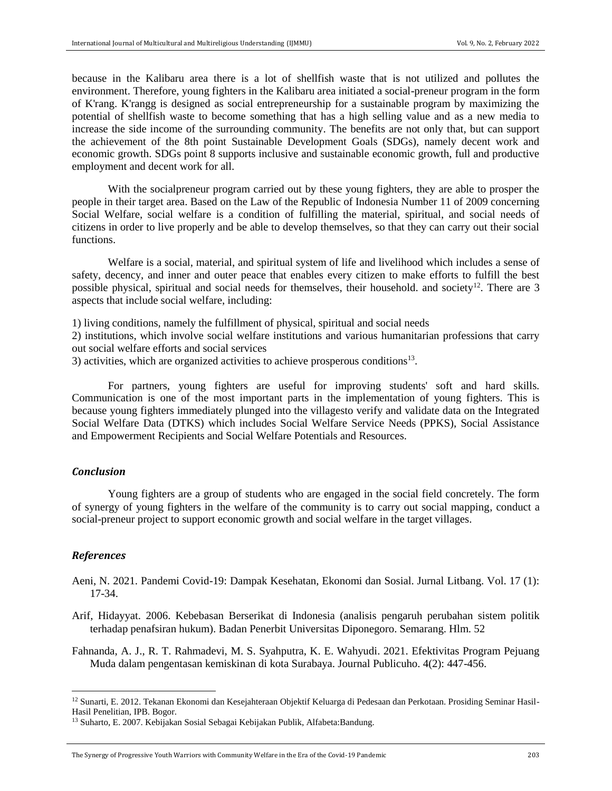because in the Kalibaru area there is a lot of shellfish waste that is not utilized and pollutes the environment. Therefore, young fighters in the Kalibaru area initiated a social-preneur program in the form of K'rang. K'rangg is designed as social entrepreneurship for a sustainable program by maximizing the potential of shellfish waste to become something that has a high selling value and as a new media to increase the side income of the surrounding community. The benefits are not only that, but can support the achievement of the 8th point Sustainable Development Goals (SDGs), namely decent work and economic growth. SDGs point 8 supports inclusive and sustainable economic growth, full and productive employment and decent work for all.

With the socialpreneur program carried out by these young fighters, they are able to prosper the people in their target area. Based on the Law of the Republic of Indonesia Number 11 of 2009 concerning Social Welfare, social welfare is a condition of fulfilling the material, spiritual, and social needs of citizens in order to live properly and be able to develop themselves, so that they can carry out their social functions.

Welfare is a social, material, and spiritual system of life and livelihood which includes a sense of safety, decency, and inner and outer peace that enables every citizen to make efforts to fulfill the best possible physical, spiritual and social needs for themselves, their household. and society<sup>12</sup>. There are 3 aspects that include social welfare, including:

1) living conditions, namely the fulfillment of physical, spiritual and social needs

2) institutions, which involve social welfare institutions and various humanitarian professions that carry out social welfare efforts and social services

3) activities, which are organized activities to achieve prosperous conditions<sup>13</sup>.

For partners, young fighters are useful for improving students' soft and hard skills. Communication is one of the most important parts in the implementation of young fighters. This is because young fighters immediately plunged into the villagesto verify and validate data on the Integrated Social Welfare Data (DTKS) which includes Social Welfare Service Needs (PPKS), Social Assistance and Empowerment Recipients and Social Welfare Potentials and Resources.

# *Conclusion*

Young fighters are a group of students who are engaged in the social field concretely. The form of synergy of young fighters in the welfare of the community is to carry out social mapping, conduct a social-preneur project to support economic growth and social welfare in the target villages.

### *References*

 $\overline{\phantom{a}}$ 

- Aeni, N. 2021. Pandemi Covid-19: Dampak Kesehatan, Ekonomi dan Sosial. Jurnal Litbang. Vol. 17 (1): 17-34.
- Arif, Hidayyat. 2006. Kebebasan Berserikat di Indonesia (analisis pengaruh perubahan sistem politik terhadap penafsiran hukum). Badan Penerbit Universitas Diponegoro. Semarang. Hlm. 52
- Fahnanda, A. J., R. T. Rahmadevi, M. S. Syahputra, K. E. Wahyudi. 2021. Efektivitas Program Pejuang Muda dalam pengentasan kemiskinan di kota Surabaya. Journal Publicuho. 4(2): 447-456.

<sup>&</sup>lt;sup>12</sup> Sunarti, E. 2012. Tekanan Ekonomi dan Kesejahteraan Objektif Keluarga di Pedesaan dan Perkotaan. Prosiding Seminar Hasil-Hasil Penelitian, IPB. Bogor.

<sup>13</sup> Suharto, E. 2007. Kebijakan Sosial Sebagai Kebijakan Publik, Alfabeta:Bandung.

The Synergy of Progressive Youth Warriors with Community Welfare in the Era of the Covid-19 Pandemic 203